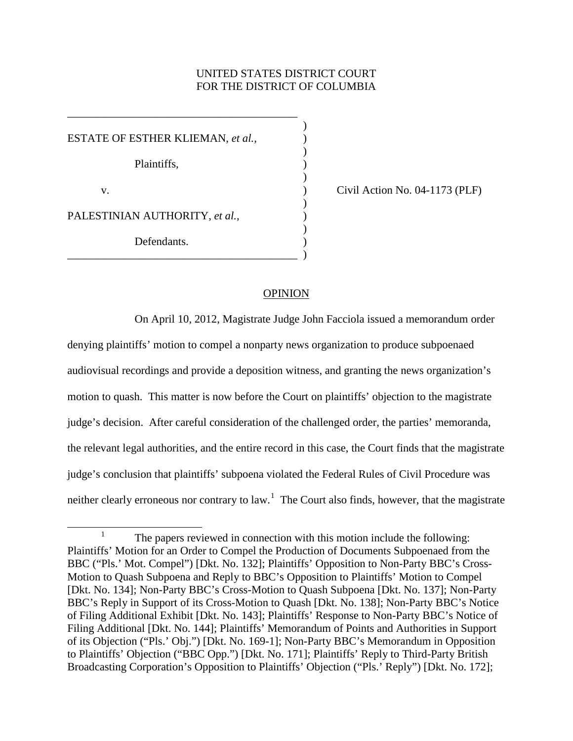# UNITED STATES DISTRICT COURT FOR THE DISTRICT OF COLUMBIA

)

)

 $)$ 

)

)

ESTATE OF ESTHER KLIEMAN, et al., Plaintiffs, ) v. ) Civil Action No. 04-1173 (PLF) PALESTINIAN AUTHORITY, *et al.*, Defendants. \_\_\_\_\_\_\_\_\_\_\_\_\_\_\_\_\_\_\_\_\_\_\_\_\_\_\_\_\_\_\_\_\_\_\_\_\_\_\_\_\_ )

\_\_\_\_\_\_\_\_\_\_\_\_\_\_\_\_\_\_\_\_\_\_\_\_\_\_\_\_\_\_\_\_\_\_\_\_\_\_\_\_\_

## OPINION

On April 10, 2012, Magistrate Judge John Facciola issued a memorandum order denying plaintiffs' motion to compel a nonparty news organization to produce subpoenaed audiovisual recordings and provide a deposition witness, and granting the news organization's motion to quash. This matter is now before the Court on plaintiffs' objection to the magistrate judge's decision. After careful consideration of the challenged order, the parties' memoranda, the relevant legal authorities, and the entire record in this case, the Court finds that the magistrate judge's conclusion that plaintiffs' subpoena violated the Federal Rules of Civil Procedure was neither clearly erroneous nor contrary to law.<sup>[1](#page-0-0)</sup> The Court also finds, however, that the magistrate

<span id="page-0-0"></span><sup>&</sup>lt;sup>1</sup> The papers reviewed in connection with this motion include the following: Plaintiffs' Motion for an Order to Compel the Production of Documents Subpoenaed from the BBC ("Pls.' Mot. Compel") [Dkt. No. 132]; Plaintiffs' Opposition to Non-Party BBC's Cross-Motion to Quash Subpoena and Reply to BBC's Opposition to Plaintiffs' Motion to Compel [Dkt. No. 134]; Non-Party BBC's Cross-Motion to Quash Subpoena [Dkt. No. 137]; Non-Party BBC's Reply in Support of its Cross-Motion to Quash [Dkt. No. 138]; Non-Party BBC's Notice of Filing Additional Exhibit [Dkt. No. 143]; Plaintiffs' Response to Non-Party BBC's Notice of Filing Additional [Dkt. No. 144]; Plaintiffs' Memorandum of Points and Authorities in Support of its Objection ("Pls.' Obj.") [Dkt. No. 169-1]; Non-Party BBC's Memorandum in Opposition to Plaintiffs' Objection ("BBC Opp.") [Dkt. No. 171]; Plaintiffs' Reply to Third-Party British Broadcasting Corporation's Opposition to Plaintiffs' Objection ("Pls.' Reply") [Dkt. No. 172];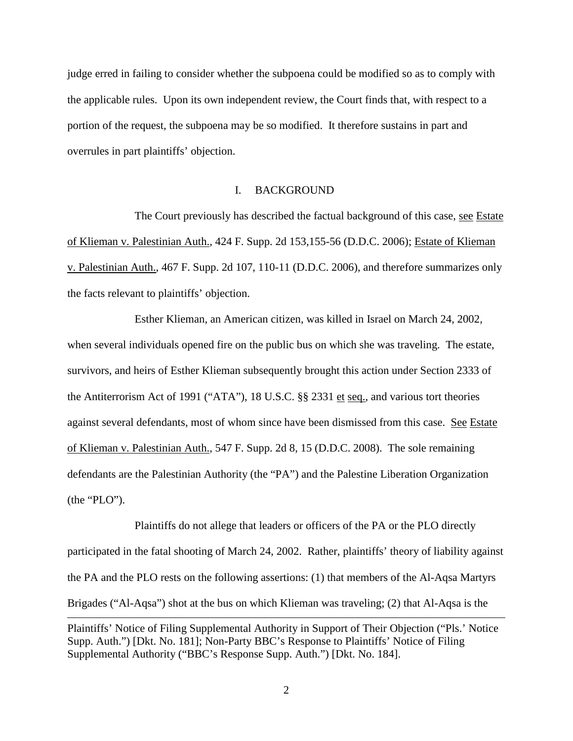judge erred in failing to consider whether the subpoena could be modified so as to comply with the applicable rules. Upon its own independent review, the Court finds that, with respect to a portion of the request, the subpoena may be so modified. It therefore sustains in part and overrules in part plaintiffs' objection.

## I. BACKGROUND

The Court previously has described the factual background of this case, see Estate of Klieman v. Palestinian Auth., 424 F. Supp. 2d 153,155-56 (D.D.C. 2006); Estate of Klieman v. Palestinian Auth., 467 F. Supp. 2d 107, 110-11 (D.D.C. 2006), and therefore summarizes only the facts relevant to plaintiffs' objection.

Esther Klieman, an American citizen, was killed in Israel on March 24, 2002, when several individuals opened fire on the public bus on which she was traveling. The estate, survivors, and heirs of Esther Klieman subsequently brought this action under Section 2333 of the Antiterrorism Act of 1991 ("ATA"), 18 U.S.C. §§ 2331 et seq., and various tort theories against several defendants, most of whom since have been dismissed from this case. See Estate of Klieman v. Palestinian Auth., 547 F. Supp. 2d 8, 15 (D.D.C. 2008). The sole remaining defendants are the Palestinian Authority (the "PA") and the Palestine Liberation Organization (the "PLO").

Plaintiffs do not allege that leaders or officers of the PA or the PLO directly participated in the fatal shooting of March 24, 2002. Rather, plaintiffs' theory of liability against the PA and the PLO rests on the following assertions: (1) that members of the Al-Aqsa Martyrs Brigades ("Al-Aqsa") shot at the bus on which Klieman was traveling; (2) that Al-Aqsa is the  $\overline{a}$ 

Plaintiffs' Notice of Filing Supplemental Authority in Support of Their Objection ("Pls.' Notice Supp. Auth.") [Dkt. No. 181]; Non-Party BBC's Response to Plaintiffs' Notice of Filing Supplemental Authority ("BBC's Response Supp. Auth.") [Dkt. No. 184].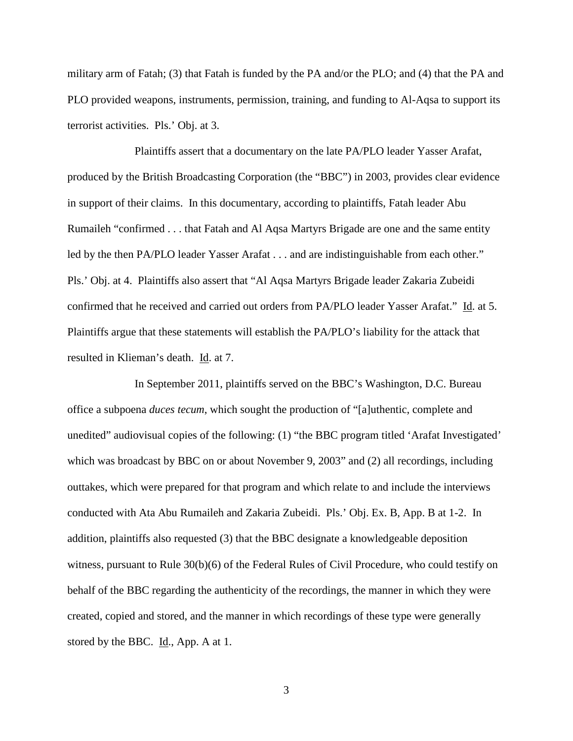military arm of Fatah; (3) that Fatah is funded by the PA and/or the PLO; and (4) that the PA and PLO provided weapons, instruments, permission, training, and funding to Al-Aqsa to support its terrorist activities. Pls.' Obj. at 3.

Plaintiffs assert that a documentary on the late PA/PLO leader Yasser Arafat, produced by the British Broadcasting Corporation (the "BBC") in 2003, provides clear evidence in support of their claims. In this documentary, according to plaintiffs, Fatah leader Abu Rumaileh "confirmed . . . that Fatah and Al Aqsa Martyrs Brigade are one and the same entity led by the then PA/PLO leader Yasser Arafat . . . and are indistinguishable from each other." Pls.' Obj. at 4. Plaintiffs also assert that "Al Aqsa Martyrs Brigade leader Zakaria Zubeidi confirmed that he received and carried out orders from PA/PLO leader Yasser Arafat." Id. at 5. Plaintiffs argue that these statements will establish the PA/PLO's liability for the attack that resulted in Klieman's death. Id. at 7.

In September 2011, plaintiffs served on the BBC's Washington, D.C. Bureau office a subpoena *duces tecum*, which sought the production of "[a]uthentic, complete and unedited" audiovisual copies of the following: (1) "the BBC program titled 'Arafat Investigated' which was broadcast by BBC on or about November 9, 2003" and (2) all recordings, including outtakes, which were prepared for that program and which relate to and include the interviews conducted with Ata Abu Rumaileh and Zakaria Zubeidi. Pls.' Obj. Ex. B, App. B at 1-2. In addition, plaintiffs also requested (3) that the BBC designate a knowledgeable deposition witness, pursuant to Rule 30(b)(6) of the Federal Rules of Civil Procedure, who could testify on behalf of the BBC regarding the authenticity of the recordings, the manner in which they were created, copied and stored, and the manner in which recordings of these type were generally stored by the BBC. Id., App. A at 1.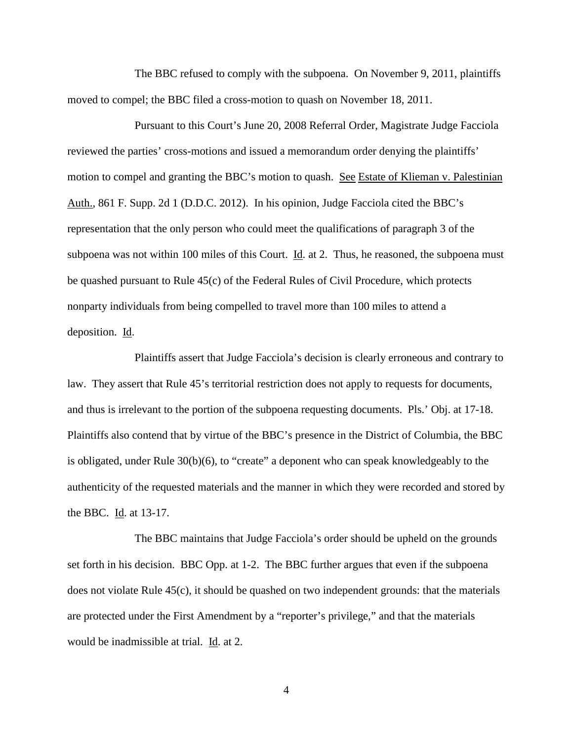The BBC refused to comply with the subpoena. On November 9, 2011, plaintiffs moved to compel; the BBC filed a cross-motion to quash on November 18, 2011.

Pursuant to this Court's June 20, 2008 Referral Order, Magistrate Judge Facciola reviewed the parties' cross-motions and issued a memorandum order denying the plaintiffs' motion to compel and granting the BBC's motion to quash. See Estate of Klieman v. Palestinian Auth., 861 F. Supp. 2d 1 (D.D.C. 2012). In his opinion, Judge Facciola cited the BBC's representation that the only person who could meet the qualifications of paragraph 3 of the subpoena was not within 100 miles of this Court. *Id.* at 2. Thus, he reasoned, the subpoena must be quashed pursuant to Rule 45(c) of the Federal Rules of Civil Procedure, which protects nonparty individuals from being compelled to travel more than 100 miles to attend a deposition. Id.

Plaintiffs assert that Judge Facciola's decision is clearly erroneous and contrary to law. They assert that Rule 45's territorial restriction does not apply to requests for documents, and thus is irrelevant to the portion of the subpoena requesting documents. Pls.' Obj. at 17-18. Plaintiffs also contend that by virtue of the BBC's presence in the District of Columbia, the BBC is obligated, under Rule 30(b)(6), to "create" a deponent who can speak knowledgeably to the authenticity of the requested materials and the manner in which they were recorded and stored by the BBC. Id. at 13-17.

The BBC maintains that Judge Facciola's order should be upheld on the grounds set forth in his decision. BBC Opp. at 1-2. The BBC further argues that even if the subpoena does not violate Rule 45(c), it should be quashed on two independent grounds: that the materials are protected under the First Amendment by a "reporter's privilege," and that the materials would be inadmissible at trial. Id. at 2.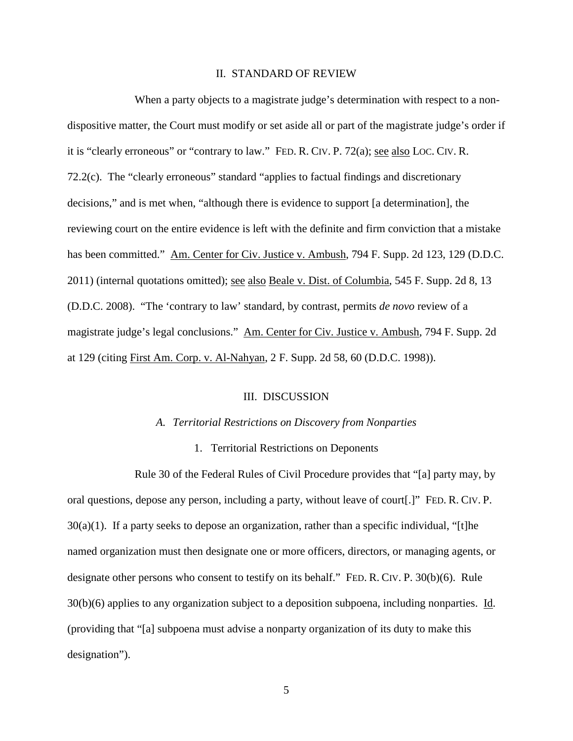## II. STANDARD OF REVIEW

When a party objects to a magistrate judge's determination with respect to a nondispositive matter, the Court must modify or set aside all or part of the magistrate judge's order if it is "clearly erroneous" or "contrary to law." FED. R. CIV. P. 72(a); see also LOC. CIV. R. 72.2(c). The "clearly erroneous" standard "applies to factual findings and discretionary decisions," and is met when, "although there is evidence to support [a determination], the reviewing court on the entire evidence is left with the definite and firm conviction that a mistake has been committed." Am. Center for Civ. Justice v. Ambush, 794 F. Supp. 2d 123, 129 (D.D.C. 2011) (internal quotations omitted); <u>see also Beale v. Dist. of Columbia</u>, 545 F. Supp. 2d 8, 13 (D.D.C. 2008). "The 'contrary to law' standard, by contrast, permits *de novo* review of a magistrate judge's legal conclusions." Am. Center for Civ. Justice v. Ambush, 794 F. Supp. 2d at 129 (citing First Am. Corp. v. Al-Nahyan, 2 F. Supp. 2d 58, 60 (D.D.C. 1998)).

## III. DISCUSSION

### *A. Territorial Restrictions on Discovery from Nonparties*

### 1. Territorial Restrictions on Deponents

Rule 30 of the Federal Rules of Civil Procedure provides that "[a] party may, by oral questions, depose any person, including a party, without leave of court[.]" FED. R. CIV. P.  $30(a)(1)$ . If a party seeks to depose an organization, rather than a specific individual, "[t]he named organization must then designate one or more officers, directors, or managing agents, or designate other persons who consent to testify on its behalf." FED. R. CIV. P. 30(b)(6). Rule  $30(b)(6)$  applies to any organization subject to a deposition subpoena, including nonparties. Id. (providing that "[a] subpoena must advise a nonparty organization of its duty to make this designation").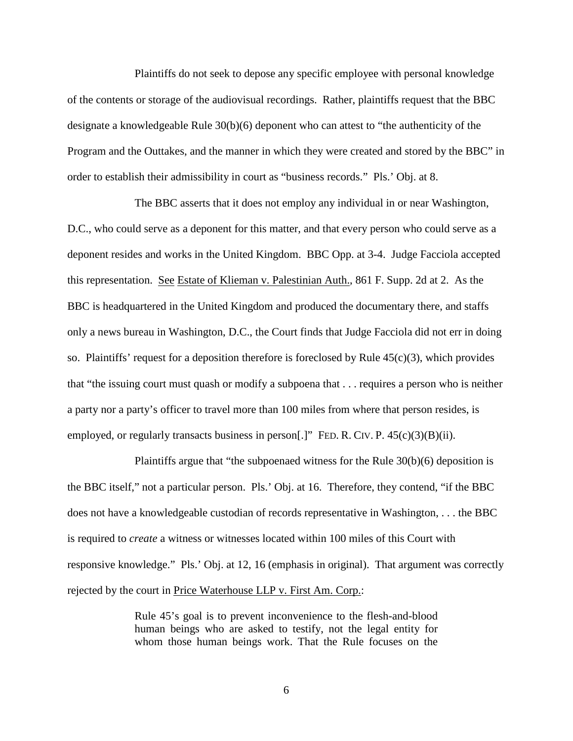Plaintiffs do not seek to depose any specific employee with personal knowledge of the contents or storage of the audiovisual recordings. Rather, plaintiffs request that the BBC designate a knowledgeable Rule 30(b)(6) deponent who can attest to "the authenticity of the Program and the Outtakes, and the manner in which they were created and stored by the BBC" in order to establish their admissibility in court as "business records." Pls.' Obj. at 8.

The BBC asserts that it does not employ any individual in or near Washington, D.C., who could serve as a deponent for this matter, and that every person who could serve as a deponent resides and works in the United Kingdom. BBC Opp. at 3-4. Judge Facciola accepted this representation. See Estate of Klieman v. Palestinian Auth., 861 F. Supp. 2d at 2. As the BBC is headquartered in the United Kingdom and produced the documentary there, and staffs only a news bureau in Washington, D.C., the Court finds that Judge Facciola did not err in doing so. Plaintiffs' request for a deposition therefore is foreclosed by Rule  $45(c)(3)$ , which provides that "the issuing court must quash or modify a subpoena that . . . requires a person who is neither a party nor a party's officer to travel more than 100 miles from where that person resides, is employed, or regularly transacts business in person[.]" FED. R. CIV. P.  $45(c)(3)(B)(ii)$ .

Plaintiffs argue that "the subpoenaed witness for the Rule 30(b)(6) deposition is the BBC itself," not a particular person. Pls.' Obj. at 16. Therefore, they contend, "if the BBC does not have a knowledgeable custodian of records representative in Washington, . . . the BBC is required to *create* a witness or witnesses located within 100 miles of this Court with responsive knowledge." Pls.' Obj. at 12, 16 (emphasis in original). That argument was correctly rejected by the court in Price Waterhouse LLP v. First Am. Corp.:

> Rule 45's goal is to prevent inconvenience to the flesh-and-blood human beings who are asked to testify, not the legal entity for whom those human beings work. That the Rule focuses on the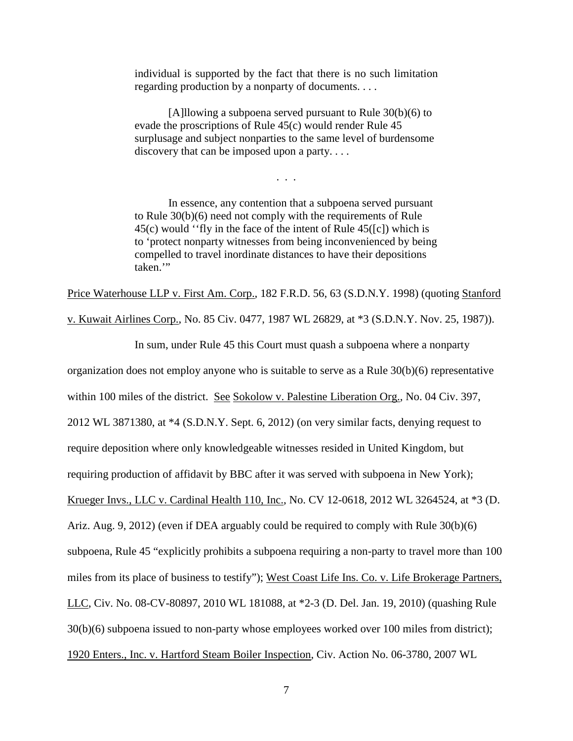individual is supported by the fact that there is no such limitation regarding production by a nonparty of documents. . . .

[A]llowing a subpoena served pursuant to Rule 30(b)(6) to evade the proscriptions of Rule 45(c) would render Rule 45 surplusage and subject nonparties to the same level of burdensome discovery that can be imposed upon a party....

. . .

In essence, any contention that a subpoena served pursuant to Rule 30(b)(6) need not comply with the requirements of Rule 45(c) would ''fly in the face of the intent of Rule 45([c]) which is to 'protect nonparty witnesses from being inconvenienced by being compelled to travel inordinate distances to have their depositions taken."

Price Waterhouse LLP v. First Am. Corp., 182 F.R.D. 56, 63 (S.D.N.Y. 1998) (quoting Stanford

v. Kuwait Airlines Corp., No. 85 Civ. 0477, 1987 WL 26829, at \*3 (S.D.N.Y. Nov. 25, 1987)).

In sum, under Rule 45 this Court must quash a subpoena where a nonparty

organization does not employ anyone who is suitable to serve as a Rule 30(b)(6) representative

within 100 miles of the district. See Sokolow v. Palestine Liberation Org., No. 04 Civ. 397,

2012 WL 3871380, at \*4 (S.D.N.Y. Sept. 6, 2012) (on very similar facts, denying request to

require deposition where only knowledgeable witnesses resided in United Kingdom, but

requiring production of affidavit by BBC after it was served with subpoena in New York);

Krueger Invs., LLC v. Cardinal Health 110, Inc., No. CV 12-0618, 2012 WL 3264524, at \*3 (D.

Ariz. Aug. 9, 2012) (even if DEA arguably could be required to comply with Rule 30(b)(6)

subpoena, Rule 45 "explicitly prohibits a subpoena requiring a non-party to travel more than 100

miles from its place of business to testify"); West Coast Life Ins. Co. v. Life Brokerage Partners,

LLC, Civ. No. 08-CV-80897, 2010 WL 181088, at \*2-3 (D. Del. Jan. 19, 2010) (quashing Rule

30(b)(6) subpoena issued to non-party whose employees worked over 100 miles from district);

1920 Enters., Inc. v. Hartford Steam Boiler Inspection, Civ. Action No. 06-3780, 2007 WL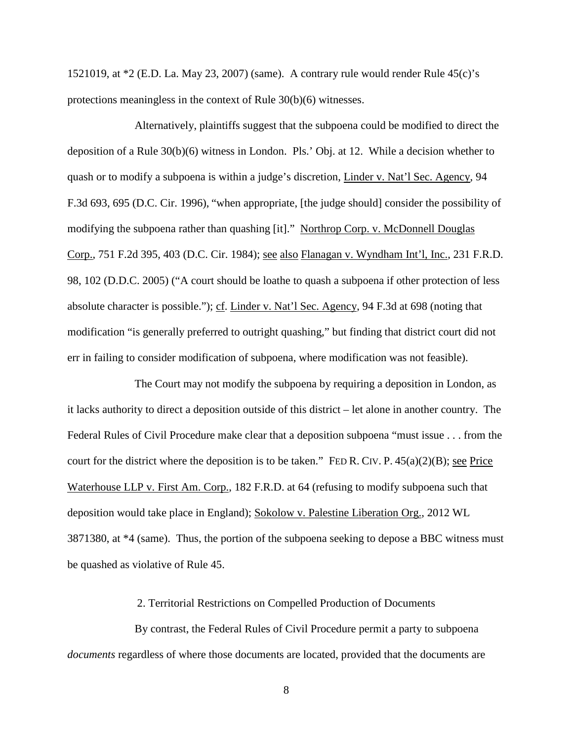1521019, at \*2 (E.D. La. May 23, 2007) (same). A contrary rule would render Rule 45(c)'s protections meaningless in the context of Rule 30(b)(6) witnesses.

Alternatively, plaintiffs suggest that the subpoena could be modified to direct the deposition of a Rule 30(b)(6) witness in London. Pls.' Obj. at 12. While a decision whether to quash or to modify a subpoena is within a judge's discretion, Linder v. Nat'l Sec. Agency, 94 F.3d 693, 695 (D.C. Cir. 1996), "when appropriate, [the judge should] consider the possibility of modifying the subpoena rather than quashing [it]." Northrop Corp. v. McDonnell Douglas Corp., 751 F.2d 395, 403 (D.C. Cir. 1984); see also Flanagan v. Wyndham Int'l, Inc., 231 F.R.D. 98, 102 (D.D.C. 2005) ("A court should be loathe to quash a subpoena if other protection of less absolute character is possible."); cf. Linder v. Nat'l Sec. Agency, 94 F.3d at 698 (noting that modification "is generally preferred to outright quashing," but finding that district court did not err in failing to consider modification of subpoena, where modification was not feasible).

The Court may not modify the subpoena by requiring a deposition in London, as it lacks authority to direct a deposition outside of this district – let alone in another country. The Federal Rules of Civil Procedure make clear that a deposition subpoena "must issue . . . from the court for the district where the deposition is to be taken." FED R. CIV. P.  $45(a)(2)(B)$ ; see Price Waterhouse LLP v. First Am. Corp., 182 F.R.D. at 64 (refusing to modify subpoena such that deposition would take place in England); Sokolow v. Palestine Liberation Org., 2012 WL 3871380, at \*4 (same). Thus, the portion of the subpoena seeking to depose a BBC witness must be quashed as violative of Rule 45.

2. Territorial Restrictions on Compelled Production of Documents

By contrast, the Federal Rules of Civil Procedure permit a party to subpoena *documents* regardless of where those documents are located, provided that the documents are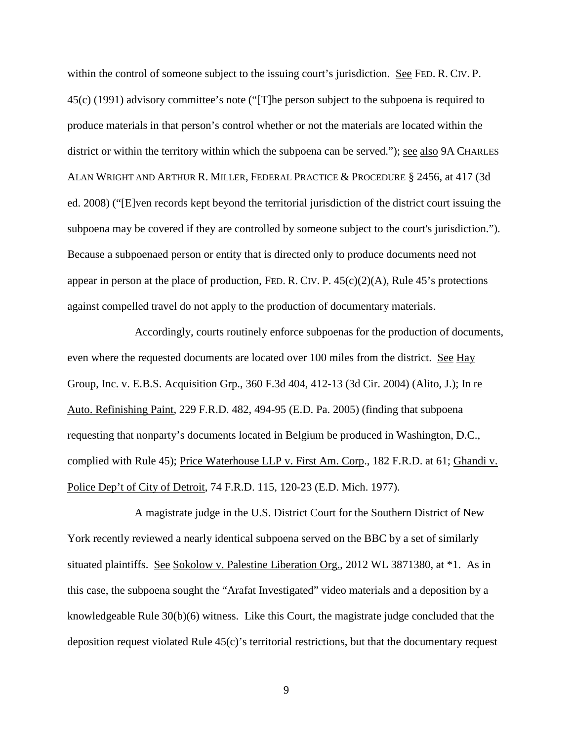within the control of someone subject to the issuing court's jurisdiction. See FED. R. CIV. P. 45(c) (1991) advisory committee's note ("[T]he person subject to the subpoena is required to produce materials in that person's control whether or not the materials are located within the district or within the territory within which the subpoena can be served."); see also 9A CHARLES ALAN WRIGHT AND ARTHUR R. MILLER, FEDERAL PRACTICE & PROCEDURE § 2456, at 417 (3d ed. 2008) ("[E]ven records kept beyond the territorial jurisdiction of the district court issuing the subpoena may be covered if they are controlled by someone subject to the court's jurisdiction."). Because a subpoenaed person or entity that is directed only to produce documents need not appear in person at the place of production, FED. R. CIV. P.  $45(c)(2)(A)$ , Rule  $45$ 's protections against compelled travel do not apply to the production of documentary materials.

Accordingly, courts routinely enforce subpoenas for the production of documents, even where the requested documents are located over 100 miles from the district. See Hay Group, Inc. v. E.B.S. Acquisition Grp., 360 F.3d 404, 412-13 (3d Cir. 2004) (Alito, J.); In re Auto. Refinishing Paint, 229 F.R.D. 482, 494-95 (E.D. Pa. 2005) (finding that subpoena requesting that nonparty's documents located in Belgium be produced in Washington, D.C., complied with Rule 45); Price Waterhouse LLP v. First Am. Corp., 182 F.R.D. at 61; Ghandi v. Police Dep't of City of Detroit, 74 F.R.D. 115, 120-23 (E.D. Mich. 1977).

A magistrate judge in the U.S. District Court for the Southern District of New York recently reviewed a nearly identical subpoena served on the BBC by a set of similarly situated plaintiffs. See Sokolow v. Palestine Liberation Org., 2012 WL 3871380, at \*1. As in this case, the subpoena sought the "Arafat Investigated" video materials and a deposition by a knowledgeable Rule 30(b)(6) witness. Like this Court, the magistrate judge concluded that the deposition request violated Rule 45(c)'s territorial restrictions, but that the documentary request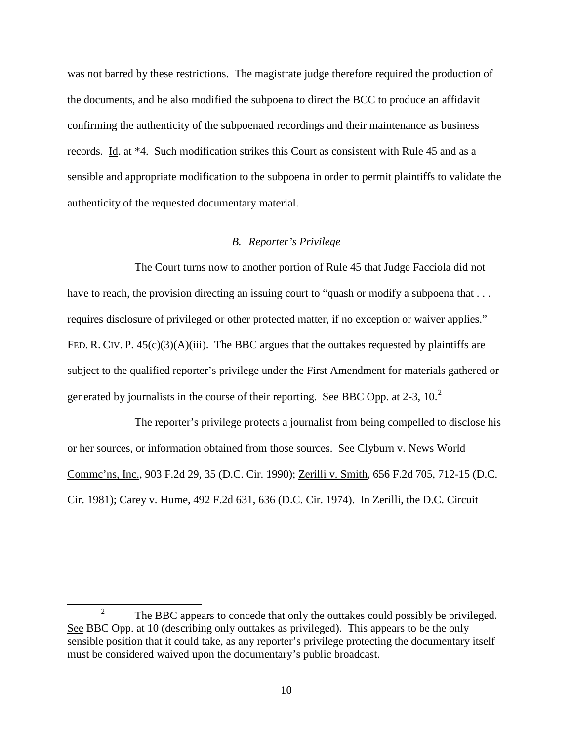was not barred by these restrictions. The magistrate judge therefore required the production of the documents, and he also modified the subpoena to direct the BCC to produce an affidavit confirming the authenticity of the subpoenaed recordings and their maintenance as business records. Id. at \*4. Such modification strikes this Court as consistent with Rule 45 and as a sensible and appropriate modification to the subpoena in order to permit plaintiffs to validate the authenticity of the requested documentary material.

## *B. Reporter's Privilege*

The Court turns now to another portion of Rule 45 that Judge Facciola did not have to reach, the provision directing an issuing court to "quash or modify a subpoena that ... requires disclosure of privileged or other protected matter, if no exception or waiver applies." FED. R. CIV. P.  $45(c)(3)(A)(iii)$ . The BBC argues that the outtakes requested by plaintiffs are subject to the qualified reporter's privilege under the First Amendment for materials gathered or generated by journalists in the course of their reporting. See BBC Opp. at  $2-3$  $2-3$ ,  $10<sup>2</sup>$ 

The reporter's privilege protects a journalist from being compelled to disclose his or her sources, or information obtained from those sources. See Clyburn v. News World Commc'ns, Inc., 903 F.2d 29, 35 (D.C. Cir. 1990); Zerilli v. Smith, 656 F.2d 705, 712-15 (D.C. Cir. 1981); Carey v. Hume, 492 F.2d 631, 636 (D.C. Cir. 1974). In Zerilli, the D.C. Circuit

<span id="page-9-0"></span><sup>&</sup>lt;sup>2</sup> The BBC appears to concede that only the outtakes could possibly be privileged. See BBC Opp. at 10 (describing only outtakes as privileged). This appears to be the only sensible position that it could take, as any reporter's privilege protecting the documentary itself must be considered waived upon the documentary's public broadcast.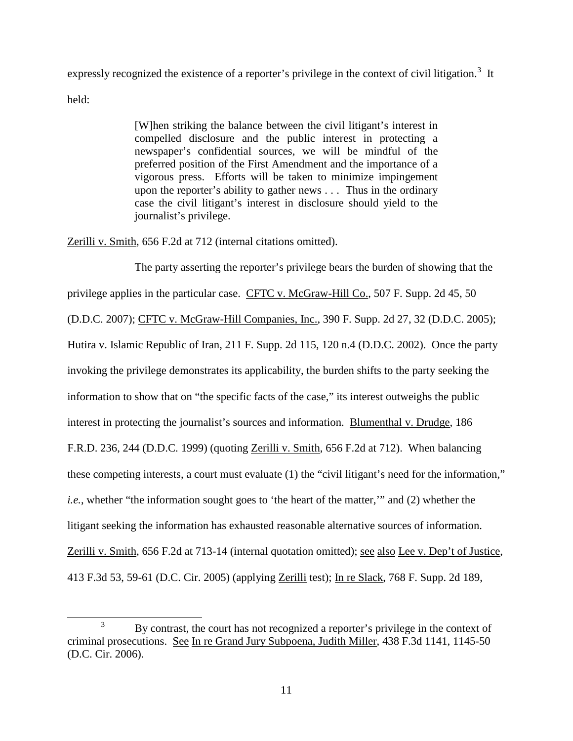expressly recognized the existence of a reporter's privilege in the context of civil litigation.<sup>[3](#page-10-0)</sup> It

held:

[W]hen striking the balance between the civil litigant's interest in compelled disclosure and the public interest in protecting a newspaper's confidential sources, we will be mindful of the preferred position of the First Amendment and the importance of a vigorous press. Efforts will be taken to minimize impingement upon the reporter's ability to gather news . . . Thus in the ordinary case the civil litigant's interest in disclosure should yield to the journalist's privilege.

Zerilli v. Smith, 656 F.2d at 712 (internal citations omitted).

The party asserting the reporter's privilege bears the burden of showing that the privilege applies in the particular case. CFTC v. McGraw-Hill Co., 507 F. Supp. 2d 45, 50 (D.D.C. 2007); CFTC v. McGraw-Hill Companies, Inc., 390 F. Supp. 2d 27, 32 (D.D.C. 2005); Hutira v. Islamic Republic of Iran, 211 F. Supp. 2d 115, 120 n.4 (D.D.C. 2002). Once the party invoking the privilege demonstrates its applicability, the burden shifts to the party seeking the information to show that on "the specific facts of the case," its interest outweighs the public interest in protecting the journalist's sources and information. Blumenthal v. Drudge, 186 F.R.D. 236, 244 (D.D.C. 1999) (quoting Zerilli v. Smith, 656 F.2d at 712). When balancing these competing interests, a court must evaluate (1) the "civil litigant's need for the information," *i.e.*, whether "the information sought goes to 'the heart of the matter,'" and (2) whether the litigant seeking the information has exhausted reasonable alternative sources of information. Zerilli v. Smith, 656 F.2d at 713-14 (internal quotation omitted); see also Lee v. Dep't of Justice, 413 F.3d 53, 59-61 (D.C. Cir. 2005) (applying Zerilli test); In re Slack, 768 F. Supp. 2d 189,

<span id="page-10-0"></span><sup>&</sup>lt;sup>3</sup> By contrast, the court has not recognized a reporter's privilege in the context of criminal prosecutions. See In re Grand Jury Subpoena, Judith Miller, 438 F.3d 1141, 1145-50 (D.C. Cir. 2006).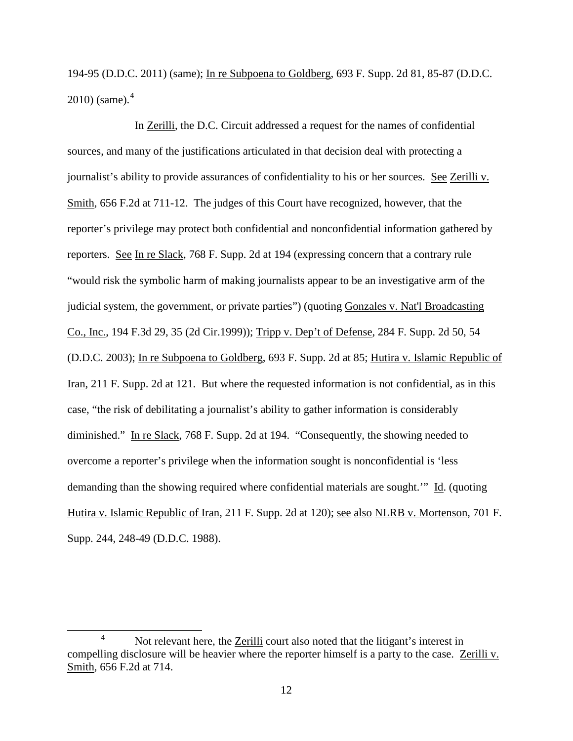194-95 (D.D.C. 2011) (same); In re Subpoena to Goldberg, 693 F. Supp. 2d 81, 85-87 (D.D.C.  $2010$ ) (same).<sup>[4](#page-11-0)</sup>

In Zerilli, the D.C. Circuit addressed a request for the names of confidential sources, and many of the justifications articulated in that decision deal with protecting a journalist's ability to provide assurances of confidentiality to his or her sources. See Zerilli v. Smith, 656 F.2d at 711-12. The judges of this Court have recognized, however, that the reporter's privilege may protect both confidential and nonconfidential information gathered by reporters. See In re Slack, 768 F. Supp. 2d at 194 (expressing concern that a contrary rule "would risk the symbolic harm of making journalists appear to be an investigative arm of the judicial system, the government, or private parties") (quoting Gonzales v. Nat'l Broadcasting Co., Inc., 194 F.3d 29, 35 (2d Cir.1999)); Tripp v. Dep't of Defense, 284 F. Supp. 2d 50, 54 (D.D.C. 2003); In re Subpoena to Goldberg, 693 F. Supp. 2d at 85; Hutira v. Islamic Republic of Iran, 211 F. Supp. 2d at 121. But where the requested information is not confidential, as in this case, "the risk of debilitating a journalist's ability to gather information is considerably diminished." In re Slack, 768 F. Supp. 2d at 194. "Consequently, the showing needed to overcome a reporter's privilege when the information sought is nonconfidential is 'less demanding than the showing required where confidential materials are sought.'" Id. (quoting Hutira v. Islamic Republic of Iran, 211 F. Supp. 2d at 120); see also NLRB v. Mortenson, 701 F. Supp. 244, 248-49 (D.D.C. 1988).

<span id="page-11-0"></span><sup>&</sup>lt;sup>4</sup> Not relevant here, the Zerilli court also noted that the litigant's interest in compelling disclosure will be heavier where the reporter himself is a party to the case. Zerilli v. Smith, 656 F.2d at 714.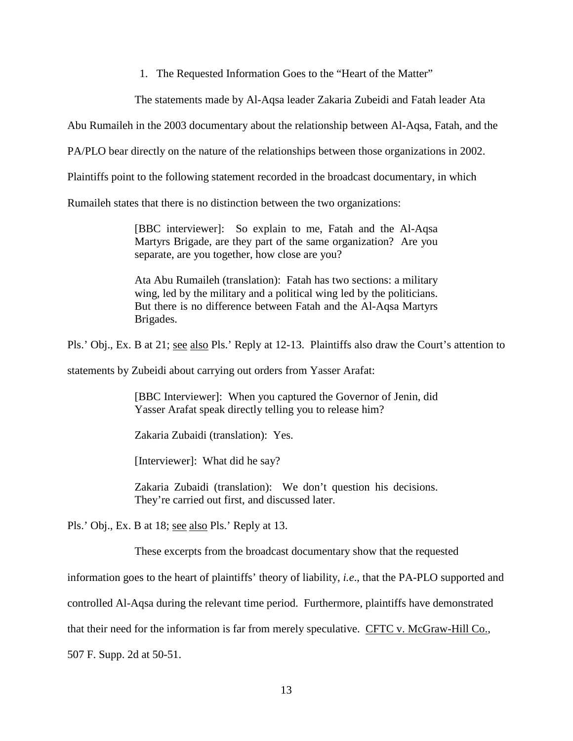1. The Requested Information Goes to the "Heart of the Matter"

The statements made by Al-Aqsa leader Zakaria Zubeidi and Fatah leader Ata

Abu Rumaileh in the 2003 documentary about the relationship between Al-Aqsa, Fatah, and the

PA/PLO bear directly on the nature of the relationships between those organizations in 2002.

Plaintiffs point to the following statement recorded in the broadcast documentary, in which

Rumaileh states that there is no distinction between the two organizations:

[BBC interviewer]: So explain to me, Fatah and the Al-Aqsa Martyrs Brigade, are they part of the same organization? Are you separate, are you together, how close are you?

Ata Abu Rumaileh (translation): Fatah has two sections: a military wing, led by the military and a political wing led by the politicians. But there is no difference between Fatah and the Al-Aqsa Martyrs Brigades.

Pls.' Obj., Ex. B at 21; see also Pls.' Reply at 12-13. Plaintiffs also draw the Court's attention to

statements by Zubeidi about carrying out orders from Yasser Arafat:

[BBC Interviewer]: When you captured the Governor of Jenin, did Yasser Arafat speak directly telling you to release him?

Zakaria Zubaidi (translation): Yes.

[Interviewer]: What did he say?

Zakaria Zubaidi (translation): We don't question his decisions. They're carried out first, and discussed later.

Pls.' Obj., Ex. B at 18; see also Pls.' Reply at 13.

These excerpts from the broadcast documentary show that the requested

information goes to the heart of plaintiffs' theory of liability, *i.e*., that the PA-PLO supported and

controlled Al-Aqsa during the relevant time period. Furthermore, plaintiffs have demonstrated

that their need for the information is far from merely speculative. CFTC v. McGraw-Hill Co.,

507 F. Supp. 2d at 50-51.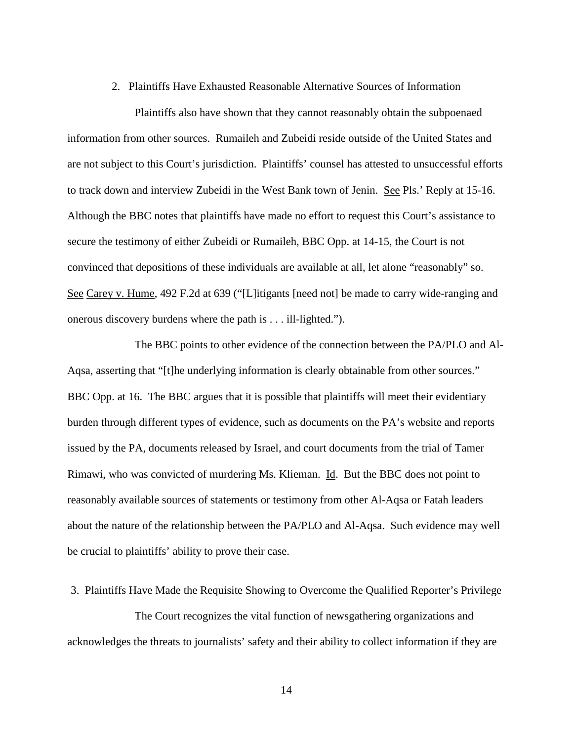2. Plaintiffs Have Exhausted Reasonable Alternative Sources of Information

Plaintiffs also have shown that they cannot reasonably obtain the subpoenaed information from other sources. Rumaileh and Zubeidi reside outside of the United States and are not subject to this Court's jurisdiction. Plaintiffs' counsel has attested to unsuccessful efforts to track down and interview Zubeidi in the West Bank town of Jenin. See Pls.' Reply at 15-16. Although the BBC notes that plaintiffs have made no effort to request this Court's assistance to secure the testimony of either Zubeidi or Rumaileh, BBC Opp. at 14-15, the Court is not convinced that depositions of these individuals are available at all, let alone "reasonably" so. See Carey v. Hume, 492 F.2d at 639 ("[L]itigants [need not] be made to carry wide-ranging and onerous discovery burdens where the path is . . . ill-lighted.").

The BBC points to other evidence of the connection between the PA/PLO and Al-Aqsa, asserting that "[t]he underlying information is clearly obtainable from other sources." BBC Opp. at 16. The BBC argues that it is possible that plaintiffs will meet their evidentiary burden through different types of evidence, such as documents on the PA's website and reports issued by the PA, documents released by Israel, and court documents from the trial of Tamer Rimawi, who was convicted of murdering Ms. Klieman. Id. But the BBC does not point to reasonably available sources of statements or testimony from other Al-Aqsa or Fatah leaders about the nature of the relationship between the PA/PLO and Al-Aqsa. Such evidence may well be crucial to plaintiffs' ability to prove their case.

#### 3. Plaintiffs Have Made the Requisite Showing to Overcome the Qualified Reporter's Privilege

The Court recognizes the vital function of newsgathering organizations and acknowledges the threats to journalists' safety and their ability to collect information if they are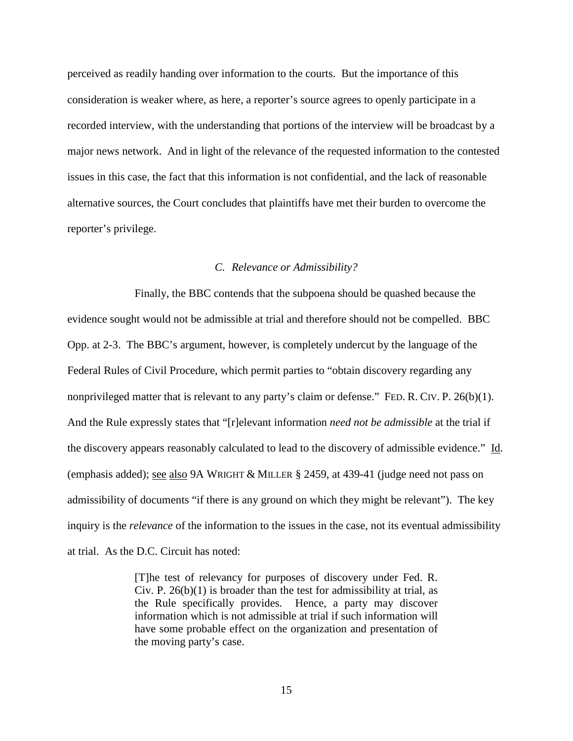perceived as readily handing over information to the courts. But the importance of this consideration is weaker where, as here, a reporter's source agrees to openly participate in a recorded interview, with the understanding that portions of the interview will be broadcast by a major news network. And in light of the relevance of the requested information to the contested issues in this case, the fact that this information is not confidential, and the lack of reasonable alternative sources, the Court concludes that plaintiffs have met their burden to overcome the reporter's privilege.

## *C. Relevance or Admissibility?*

Finally, the BBC contends that the subpoena should be quashed because the evidence sought would not be admissible at trial and therefore should not be compelled. BBC Opp. at 2-3. The BBC's argument, however, is completely undercut by the language of the Federal Rules of Civil Procedure, which permit parties to "obtain discovery regarding any nonprivileged matter that is relevant to any party's claim or defense." FED. R. CIV. P. 26(b)(1). And the Rule expressly states that "[r]elevant information *need not be admissible* at the trial if the discovery appears reasonably calculated to lead to the discovery of admissible evidence." Id. (emphasis added); see also 9A WRIGHT & MILLER § 2459, at 439-41 (judge need not pass on admissibility of documents "if there is any ground on which they might be relevant"). The key inquiry is the *relevance* of the information to the issues in the case, not its eventual admissibility at trial. As the D.C. Circuit has noted:

> [T]he test of relevancy for purposes of discovery under Fed. R. Civ. P.  $26(b)(1)$  is broader than the test for admissibility at trial, as the Rule specifically provides. Hence, a party may discover information which is not admissible at trial if such information will have some probable effect on the organization and presentation of the moving party's case.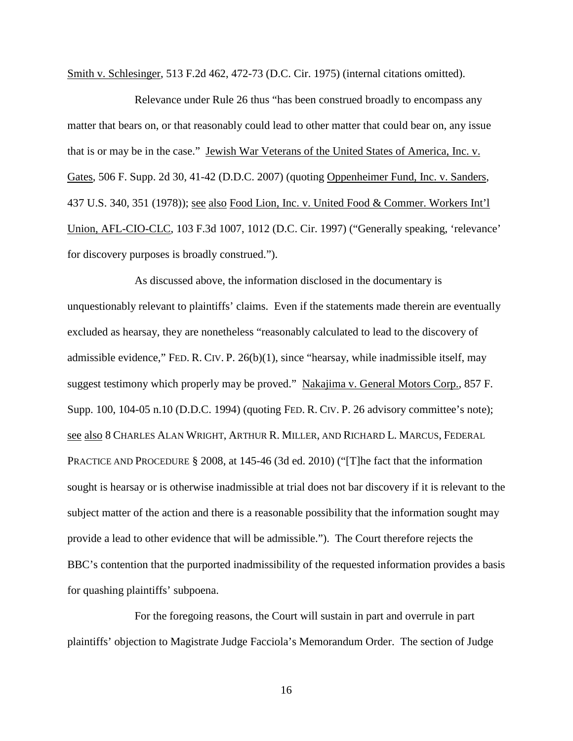Smith v. Schlesinger, 513 F.2d 462, 472-73 (D.C. Cir. 1975) (internal citations omitted).

Relevance under Rule 26 thus "has been construed broadly to encompass any matter that bears on, or that reasonably could lead to other matter that could bear on, any issue that is or may be in the case." Jewish War Veterans of the United States of America, Inc. v. Gates, 506 F. Supp. 2d 30, 41-42 (D.D.C. 2007) (quoting Oppenheimer Fund, Inc. v. Sanders, 437 U.S. 340, 351 (1978)); see also Food Lion, Inc. v. United Food & Commer. Workers Int'l Union, AFL-CIO-CLC, 103 F.3d 1007, 1012 (D.C. Cir. 1997) ("Generally speaking, 'relevance' for discovery purposes is broadly construed.").

As discussed above, the information disclosed in the documentary is unquestionably relevant to plaintiffs' claims. Even if the statements made therein are eventually excluded as hearsay, they are nonetheless "reasonably calculated to lead to the discovery of admissible evidence," FED. R. CIV. P. 26(b)(1), since "hearsay, while inadmissible itself, may suggest testimony which properly may be proved." Nakajima v. General Motors Corp., 857 F. Supp. 100, 104-05 n.10 (D.D.C. 1994) (quoting FED. R. CIV. P. 26 advisory committee's note); see also 8 CHARLES ALAN WRIGHT, ARTHUR R. MILLER, AND RICHARD L. MARCUS, FEDERAL PRACTICE AND PROCEDURE § 2008, at 145-46 (3d ed. 2010) ("The fact that the information sought is hearsay or is otherwise inadmissible at trial does not bar discovery if it is relevant to the subject matter of the action and there is a reasonable possibility that the information sought may provide a lead to other evidence that will be admissible."). The Court therefore rejects the BBC's contention that the purported inadmissibility of the requested information provides a basis for quashing plaintiffs' subpoena.

For the foregoing reasons, the Court will sustain in part and overrule in part plaintiffs' objection to Magistrate Judge Facciola's Memorandum Order. The section of Judge